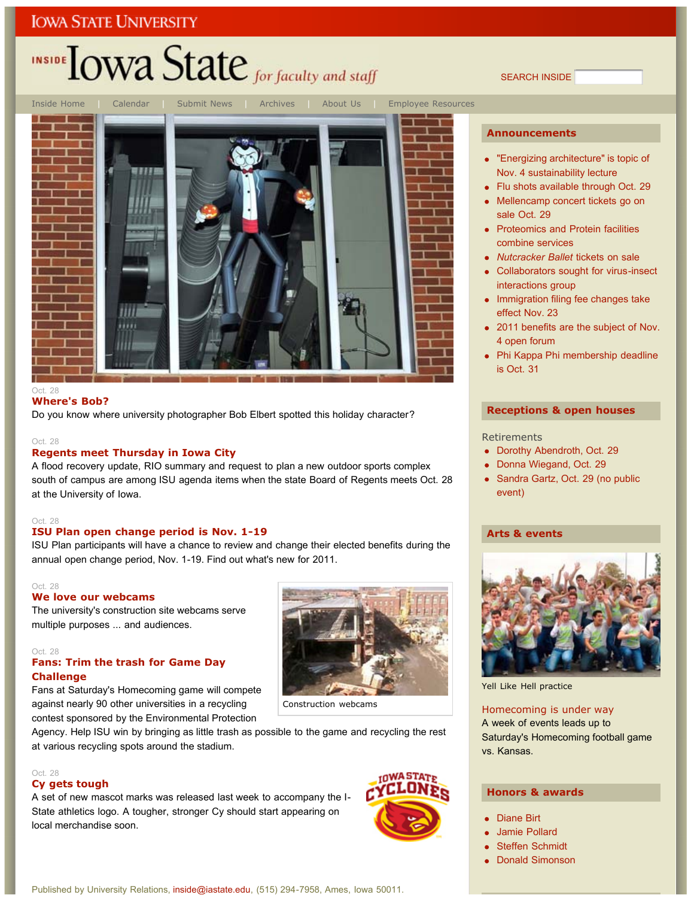# INSIDE LOWA State for faculty and staff

Inside Home | Calendar | Submit News | Archives | About Us | Employee Resources

#### Oct. 28

#### **Where's Bob?**

Do you know where university photographer Bob Elbert spotted this holiday character?

#### Oct. 28

#### **Regents meet Thursday in Iowa City**

A flood recovery update, RIO summary and request to plan a new outdoor sports complex south of campus are among ISU agenda items when the state Board of Regents meets Oct. 28 at the University of Iowa.

#### Oct. 28

#### **ISU Plan open change period is Nov. 1-19**

ISU Plan participants will have a chance to review and change their elected benefits during the annual open change period, Nov. 1-19. Find out what's new for 2011.

#### Oct. 28

#### **We love our webcams**

The university's construction site webcams serve multiple purposes ... and audiences.

#### Oct. 28

#### **Fans: Trim the trash for Game Day Challenge**

Fans at Saturday's Homecoming game will compete against nearly 90 other universities in a recycling contest sponsored by the Environmental Protection



Construction webcams

Agency. Help ISU win by bringing as little trash as possible to the game and recycling the rest at various recycling spots around the stadium.

#### Oct. 28 **Cy gets tough**

A set of new mascot marks was released last week to accompany the I-State athletics logo. A tougher, stronger Cy should start appearing on local merchandise soon.



**Announcements**

"Energizing architecture" is topic of Nov. 4 sustainability lecture

SEARCH INSIDE

- Flu shots available through Oct. 29
- Mellencamp concert tickets go on sale Oct. 29
- Proteomics and Protein facilities combine services
- *Nutcracker Ballet* tickets on sale
- Collaborators sought for virus-insect interactions group
- Immigration filing fee changes take effect Nov. 23
- 2011 benefits are the subject of Nov. 4 open forum
- Phi Kappa Phi membership deadline is Oct. 31

#### **Receptions & open houses**

#### **Retirements**

- Dorothy Abendroth, Oct. 29
- Donna Wiegand, Oct. 29
- Sandra Gartz, Oct. 29 (no public event)

#### **Arts & events**



Yell Like Hell practice

#### Homecoming is under way A week of events leads up to Saturday's Homecoming football game vs. Kansas.

#### **Honors & awards**

- Diane Birt
- Jamie Pollard
- Steffen Schmidt
- Donald Simonson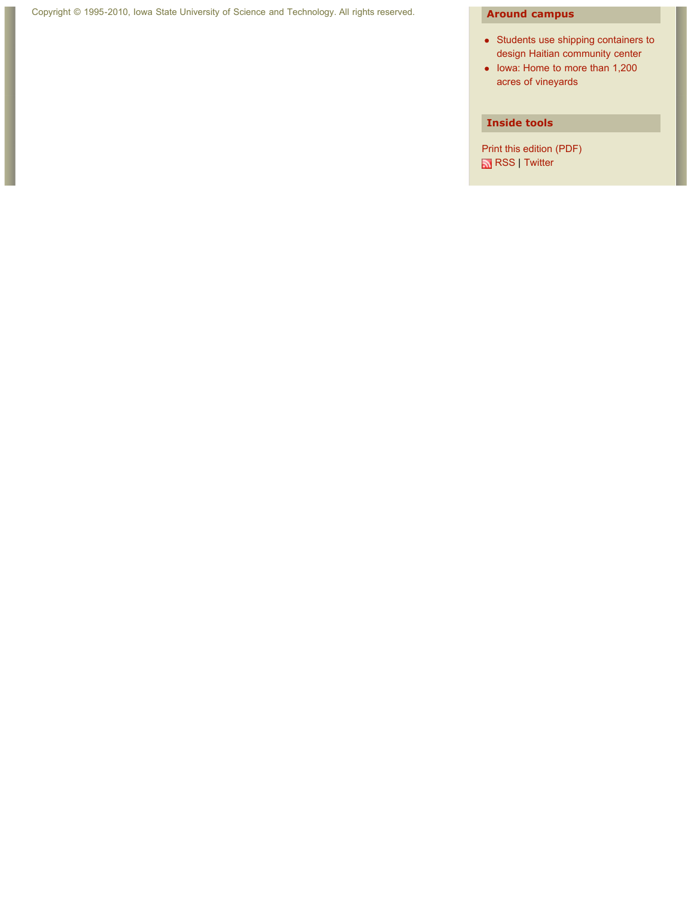Г

- Students use shipping containers to design Haitian community center
- Iowa: Home to more than 1,200 acres of vineyards

#### **Inside tools**

Print this edition (PDF) RSS | Twitter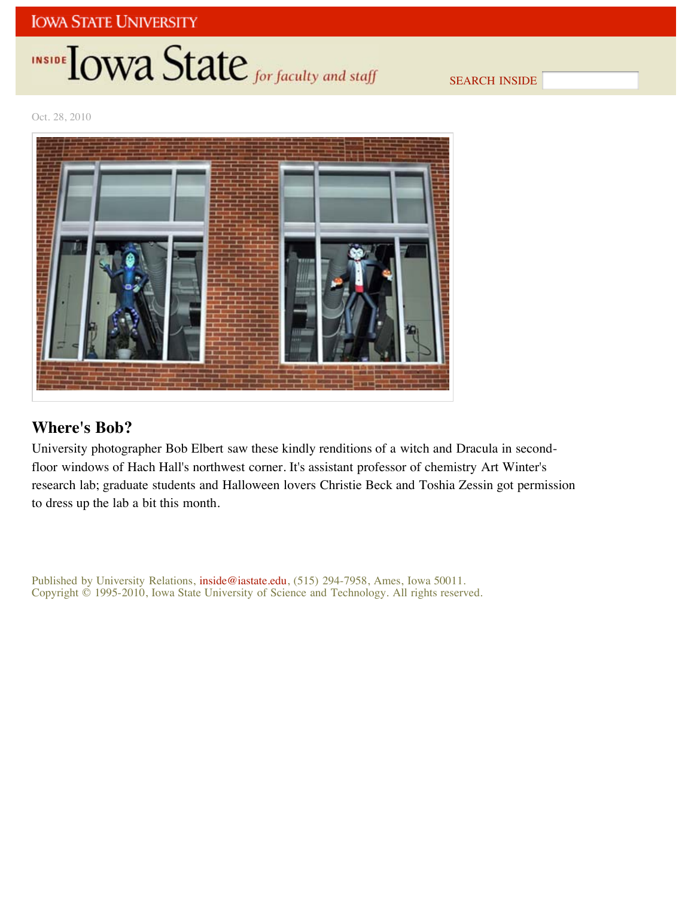## **INSIDE OWA State** for faculty and staff

SEARCH INSIDE

Oct. 28, 2010



### **Where's Bob?**

University photographer Bob Elbert saw these kindly renditions of a witch and Dracula in secondfloor windows of Hach Hall's northwest corner. It's assistant professor of chemistry Art Winter's research lab; graduate students and Halloween lovers Christie Beck and Toshia Zessin got permission to dress up the lab a bit this month.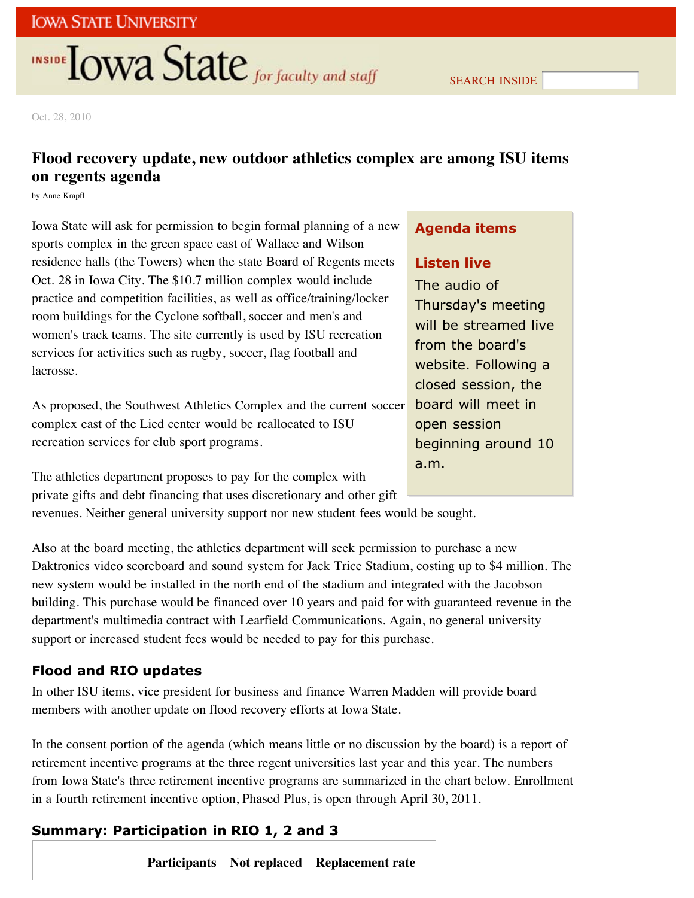## **INSIDE TOWA State** for faculty and staff

SEARCH INSIDE

Oct. 28, 2010

## **Flood recovery update, new outdoor athletics complex are among ISU items on regents agenda**

by Anne Krapfl

Iowa State will ask for permission to begin formal planning of a new sports complex in the green space east of Wallace and Wilson residence halls (the Towers) when the state Board of Regents meets Oct. 28 in Iowa City. The \$10.7 million complex would include practice and competition facilities, as well as office/training/locker room buildings for the Cyclone softball, soccer and men's and women's track teams. The site currently is used by ISU recreation services for activities such as rugby, soccer, flag football and lacrosse.

As proposed, the Southwest Athletics Complex and the current soccer complex east of the Lied center would be reallocated to ISU recreation services for club sport programs.

The athletics department proposes to pay for the complex with private gifts and debt financing that uses discretionary and other gift

revenues. Neither general university support nor new student fees would be sought.

Also at the board meeting, the athletics department will seek permission to purchase a new Daktronics video scoreboard and sound system for Jack Trice Stadium, costing up to \$4 million. The new system would be installed in the north end of the stadium and integrated with the Jacobson building. This purchase would be financed over 10 years and paid for with guaranteed revenue in the department's multimedia contract with Learfield Communications. Again, no general university support or increased student fees would be needed to pay for this purchase.

### **Flood and RIO updates**

In other ISU items, vice president for business and finance Warren Madden will provide board members with another update on flood recovery efforts at Iowa State.

In the consent portion of the agenda (which means little or no discussion by the board) is a report of retirement incentive programs at the three regent universities last year and this year. The numbers from Iowa State's three retirement incentive programs are summarized in the chart below. Enrollment in a fourth retirement incentive option, Phased Plus, is open through April 30, 2011.

## **Summary: Participation in RIO 1, 2 and 3**

**Participants Not replaced Replacement rate**

### **Agenda items**

#### **Listen live**

The audio of Thursday's meeting will be streamed live from the board's website. Following a closed session, the board will meet in open session beginning around 10 a.m.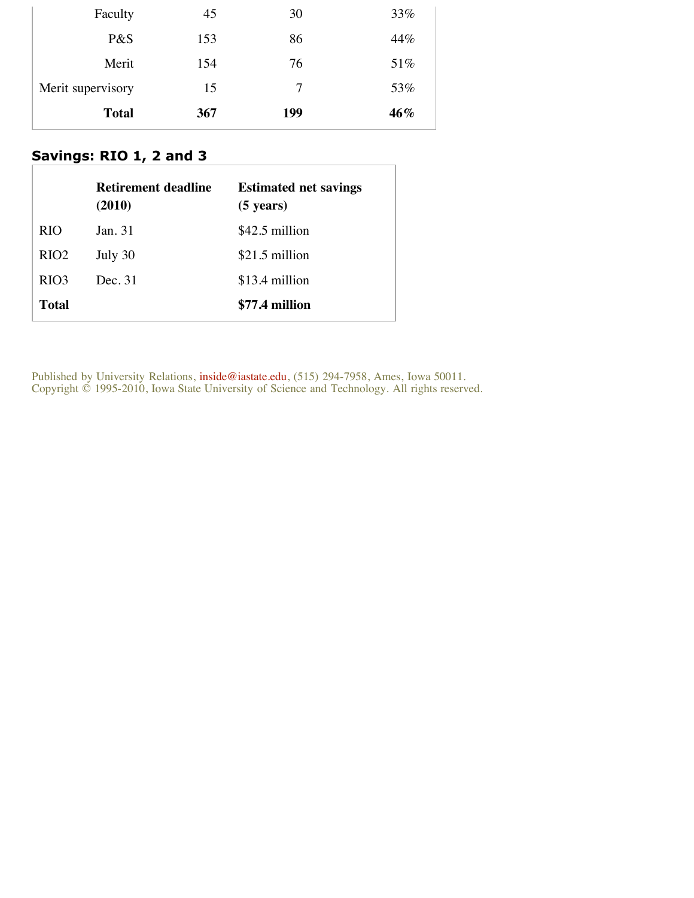| Faculty           | 45  | 30  | 33% |
|-------------------|-----|-----|-----|
| P&S               | 153 | 86  | 44% |
| Merit             | 154 | 76  | 51% |
| Merit supervisory | 15  | 7   | 53% |
| <b>Total</b>      | 367 | 199 | 46% |

## **Savings: RIO 1, 2 and 3**

|                  | <b>Retirement deadline</b><br>(2010) | <b>Estimated net savings</b><br>$(5 \text{ years})$ |
|------------------|--------------------------------------|-----------------------------------------------------|
| RIO              | Jan. 31                              | \$42.5 million                                      |
| RIO <sub>2</sub> | July 30                              | \$21.5 million                                      |
| RIO <sub>3</sub> | Dec. 31                              | \$13.4 million                                      |
| <b>Total</b>     |                                      | \$77.4 million                                      |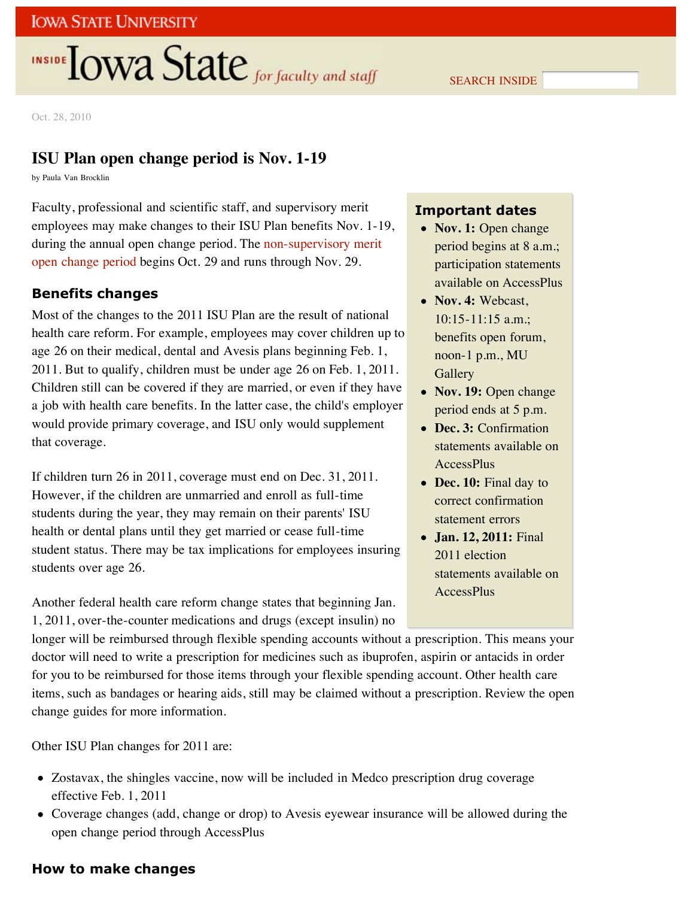## **INSIDE OWA State** for faculty and staff

SEARCH INSIDE

Oct. 28, 2010

### **ISU Plan open change period is Nov. 1-19**

by Paula Van Brocklin

Faculty, professional and scientific staff, and supervisory merit employees may make changes to their ISU Plan benefits Nov. 1-19, during the annual open change period. The non-supervisory merit open change period begins Oct. 29 and runs through Nov. 29.

#### **Benefits changes**

Most of the changes to the 2011 ISU Plan are the result of national health care reform. For example, employees may cover children up to age 26 on their medical, dental and Avesis plans beginning Feb. 1, 2011. But to qualify, children must be under age 26 on Feb. 1, 2011. Children still can be covered if they are married, or even if they have a job with health care benefits. In the latter case, the child's employer would provide primary coverage, and ISU only would supplement that coverage.

If children turn 26 in 2011, coverage must end on Dec. 31, 2011. However, if the children are unmarried and enroll as full-time students during the year, they may remain on their parents' ISU health or dental plans until they get married or cease full-time student status. There may be tax implications for employees insuring students over age 26.

Another federal health care reform change states that beginning Jan. 1, 2011, over-the-counter medications and drugs (except insulin) no

longer will be reimbursed through flexible spending accounts without a prescription. This means your doctor will need to write a prescription for medicines such as ibuprofen, aspirin or antacids in order for you to be reimbursed for those items through your flexible spending account. Other health care items, such as bandages or hearing aids, still may be claimed without a prescription. Review the open change guides for more information.

Other ISU Plan changes for 2011 are:

- Zostavax, the shingles vaccine, now will be included in Medco prescription drug coverage effective Feb. 1, 2011
- Coverage changes (add, change or drop) to Avesis eyewear insurance will be allowed during the open change period through AccessPlus

#### **How to make changes**

### **Important dates**

- Nov. 1: Open change period begins at 8 a.m.; participation statements available on AccessPlus
- Nov. 4: Webcast. 10:15-11:15 a.m.; benefits open forum, noon-1 p.m., MU **Gallery**
- **Nov. 19:** Open change period ends at 5 p.m.
- **Dec. 3:** Confirmation statements available on AccessPlus
- Dec. 10: Final day to correct confirmation statement errors
- **Jan. 12, 2011:** Final 2011 election statements available on AccessPlus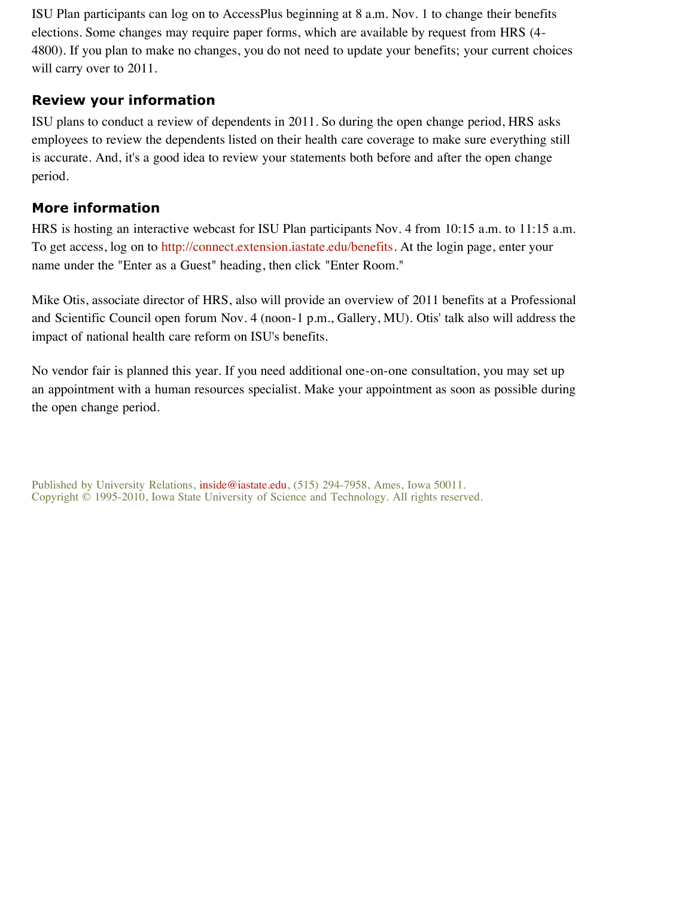ISU Plan participants can log on to AccessPlus beginning at 8 a.m. Nov. 1 to change their benefits elections. Some changes may require paper forms, which are available by request from HRS (4- 4800). If you plan to make no changes, you do not need to update your benefits; your current choices will carry over to 2011.

#### **Review your information**

ISU plans to conduct a review of dependents in 2011. So during the open change period, HRS asks employees to review the dependents listed on their health care coverage to make sure everything still is accurate. And, it's a good idea to review your statements both before and after the open change period.

### **More information**

HRS is hosting an interactive webcast for ISU Plan participants Nov. 4 from 10:15 a.m. to 11:15 a.m. To get access, log on to http://connect.extension.iastate.edu/benefits. At the login page, enter your name under the "Enter as a Guest" heading, then click "Enter Room."

Mike Otis, associate director of HRS, also will provide an overview of 2011 benefits at a Professional and Scientific Council open forum Nov. 4 (noon-1 p.m., Gallery, MU). Otis' talk also will address the impact of national health care reform on ISU's benefits.

No vendor fair is planned this year. If you need additional one-on-one consultation, you may set up an appointment with a human resources specialist. Make your appointment as soon as possible during the open change period.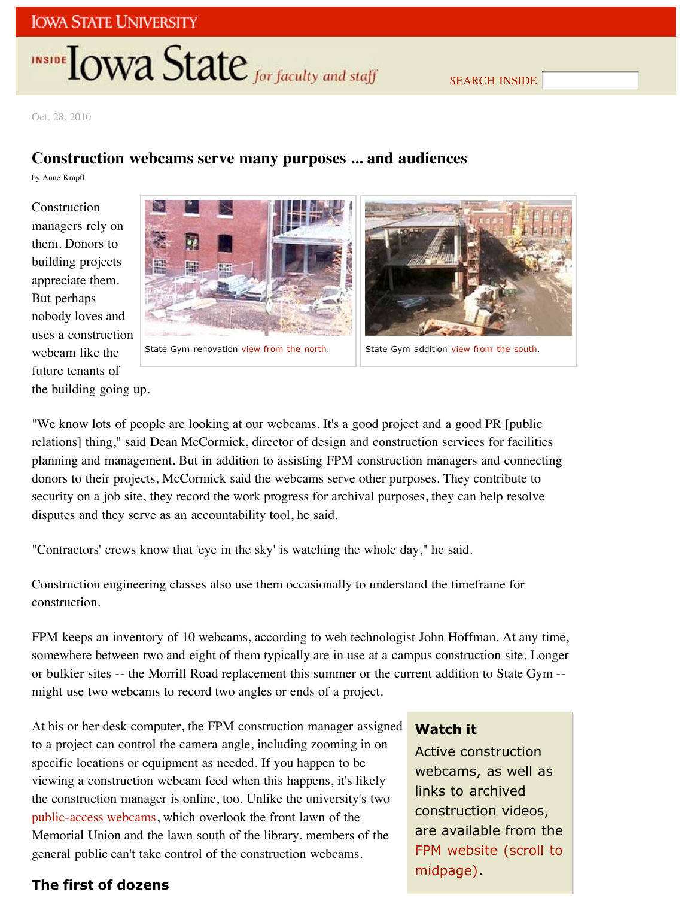## **INSIDE TOWA State** for faculty and staff

SEARCH INSIDE

Oct. 28, 2010

#### **Construction webcams serve many purposes ... and audiences**

by Anne Krapfl

Construction managers rely on them. Donors to building projects appreciate them. But perhaps nobody loves and uses a construction webcam like the future tenants of the building going up.





State Gym renovation view from the north.  $\|\cdot\|$  State Gym addition view from the south.

"We know lots of people are looking at our webcams. It's a good project and a good PR [public relations] thing," said Dean McCormick, director of design and construction services for facilities planning and management. But in addition to assisting FPM construction managers and connecting donors to their projects, McCormick said the webcams serve other purposes. They contribute to security on a job site, they record the work progress for archival purposes, they can help resolve disputes and they serve as an accountability tool, he said.

"Contractors' crews know that 'eye in the sky' is watching the whole day," he said.

Construction engineering classes also use them occasionally to understand the timeframe for construction.

FPM keeps an inventory of 10 webcams, according to web technologist John Hoffman. At any time, somewhere between two and eight of them typically are in use at a campus construction site. Longer or bulkier sites -- the Morrill Road replacement this summer or the current addition to State Gym - might use two webcams to record two angles or ends of a project.

At his or her desk computer, the FPM construction manager assigned to a project can control the camera angle, including zooming in on specific locations or equipment as needed. If you happen to be viewing a construction webcam feed when this happens, it's likely the construction manager is online, too. Unlike the university's two public-access webcams, which overlook the front lawn of the Memorial Union and the lawn south of the library, members of the general public can't take control of the construction webcams.

### **The first of dozens**

#### **Watch it**

Active construction webcams, as well as links to archived construction videos, are available from the FPM website (scroll to midpage).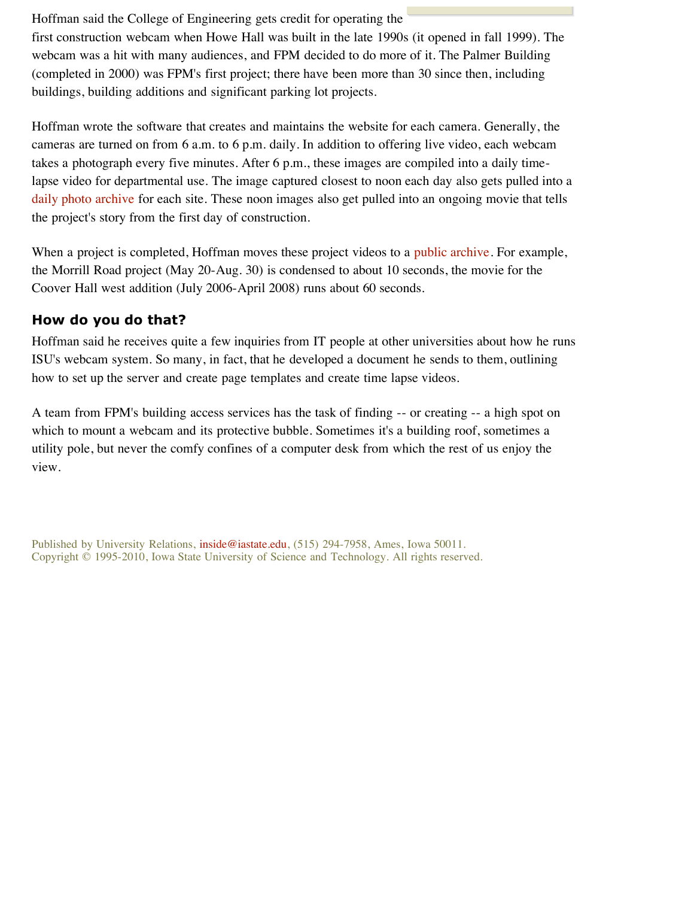Hoffman said the College of Engineering gets credit for operating the first construction webcam when Howe Hall was built in the late 1990s (it opened in fall 1999). The webcam was a hit with many audiences, and FPM decided to do more of it. The Palmer Building (completed in 2000) was FPM's first project; there have been more than 30 since then, including buildings, building additions and significant parking lot projects.

Hoffman wrote the software that creates and maintains the website for each camera. Generally, the cameras are turned on from 6 a.m. to 6 p.m. daily. In addition to offering live video, each webcam takes a photograph every five minutes. After 6 p.m., these images are compiled into a daily timelapse video for departmental use. The image captured closest to noon each day also gets pulled into a daily photo archive for each site. These noon images also get pulled into an ongoing movie that tells the project's story from the first day of construction.

When a project is completed, Hoffman moves these project videos to a public archive. For example, the Morrill Road project (May 20-Aug. 30) is condensed to about 10 seconds, the movie for the Coover Hall west addition (July 2006-April 2008) runs about 60 seconds.

#### **How do you do that?**

Hoffman said he receives quite a few inquiries from IT people at other universities about how he runs ISU's webcam system. So many, in fact, that he developed a document he sends to them, outlining how to set up the server and create page templates and create time lapse videos.

A team from FPM's building access services has the task of finding -- or creating -- a high spot on which to mount a webcam and its protective bubble. Sometimes it's a building roof, sometimes a utility pole, but never the comfy confines of a computer desk from which the rest of us enjoy the view.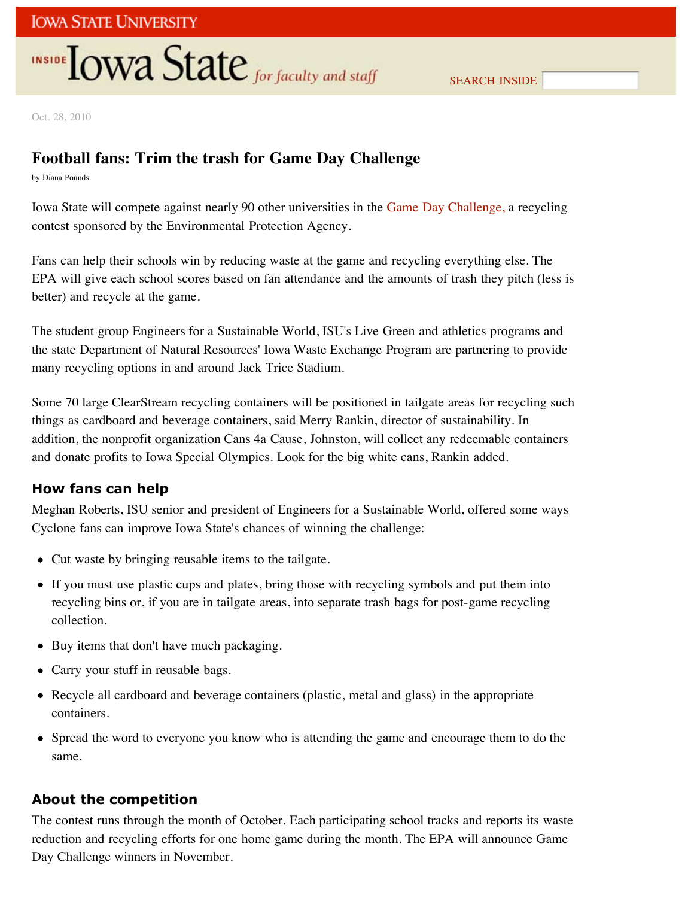## **INSIDE OWA State** for faculty and staff

Oct. 28, 2010

## **Football fans: Trim the trash for Game Day Challenge**

by Diana Pounds

Iowa State will compete against nearly 90 other universities in the Game Day Challenge, a recycling contest sponsored by the Environmental Protection Agency.

Fans can help their schools win by reducing waste at the game and recycling everything else. The EPA will give each school scores based on fan attendance and the amounts of trash they pitch (less is better) and recycle at the game.

The student group Engineers for a Sustainable World, ISU's Live Green and athletics programs and the state Department of Natural Resources' Iowa Waste Exchange Program are partnering to provide many recycling options in and around Jack Trice Stadium.

Some 70 large ClearStream recycling containers will be positioned in tailgate areas for recycling such things as cardboard and beverage containers, said Merry Rankin, director of sustainability. In addition, the nonprofit organization Cans 4a Cause, Johnston, will collect any redeemable containers and donate profits to Iowa Special Olympics. Look for the big white cans, Rankin added.

### **How fans can help**

Meghan Roberts, ISU senior and president of Engineers for a Sustainable World, offered some ways Cyclone fans can improve Iowa State's chances of winning the challenge:

- Cut waste by bringing reusable items to the tailgate.
- If you must use plastic cups and plates, bring those with recycling symbols and put them into recycling bins or, if you are in tailgate areas, into separate trash bags for post-game recycling collection.
- Buy items that don't have much packaging.
- Carry your stuff in reusable bags.
- Recycle all cardboard and beverage containers (plastic, metal and glass) in the appropriate containers.
- Spread the word to everyone you know who is attending the game and encourage them to do the same.

### **About the competition**

The contest runs through the month of October. Each participating school tracks and reports its waste reduction and recycling efforts for one home game during the month. The EPA will announce Game Day Challenge winners in November.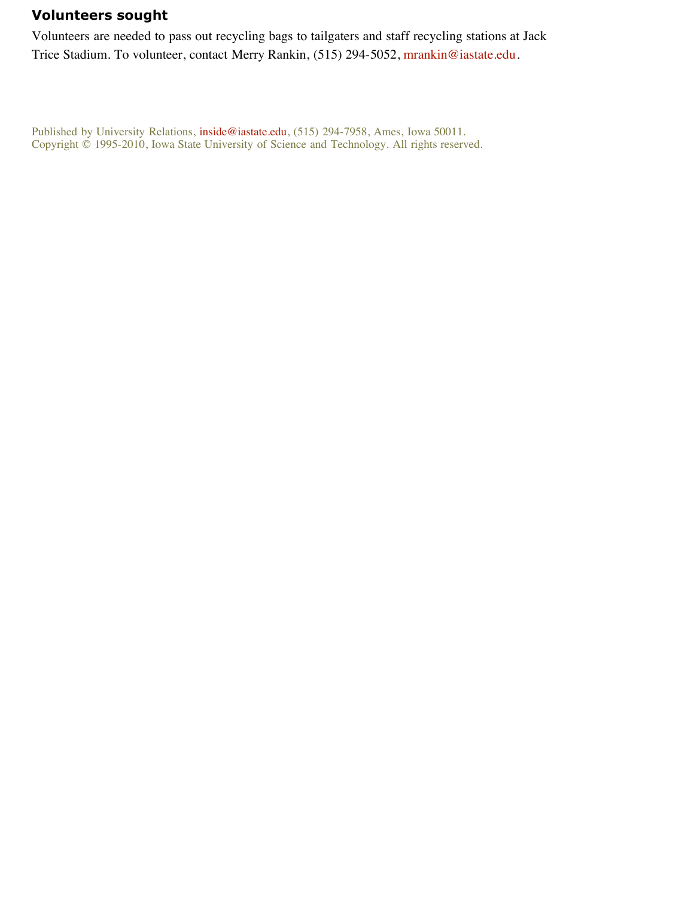### **Volunteers sought**

Volunteers are needed to pass out recycling bags to tailgaters and staff recycling stations at Jack Trice Stadium. To volunteer, contact Merry Rankin, (515) 294-5052, mrankin@iastate.edu.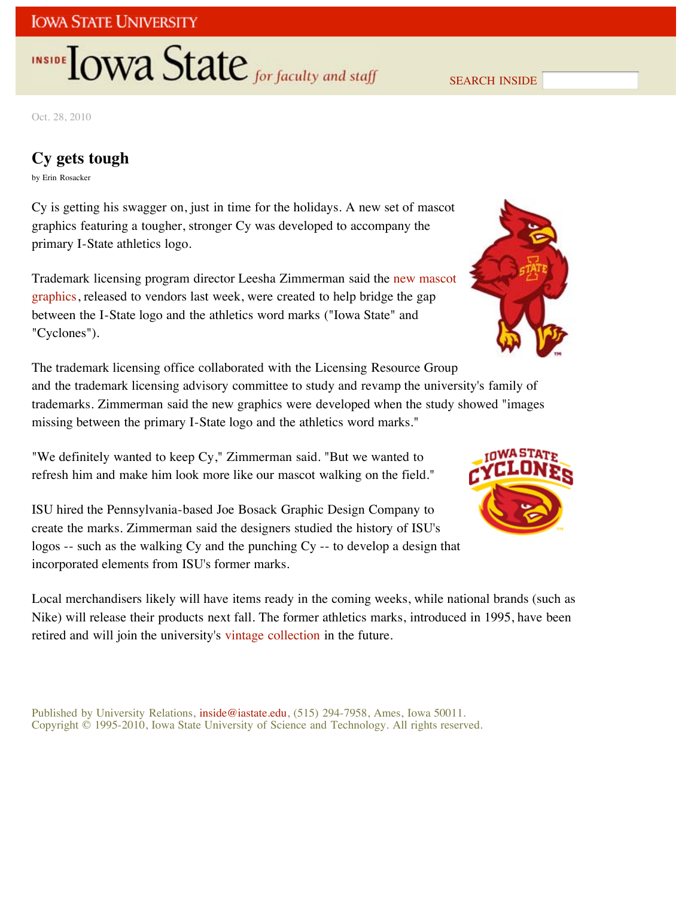## **INSIDE TOWA State** for faculty and staff

SEARCH INSIDE

Oct. 28, 2010

### **Cy gets tough**

by Erin Rosacker

Cy is getting his swagger on, just in time for the holidays. A new set of mascot graphics featuring a tougher, stronger Cy was developed to accompany the primary I-State athletics logo.

Trademark licensing program director Leesha Zimmerman said the new mascot graphics, released to vendors last week, were created to help bridge the gap between the I-State logo and the athletics word marks ("Iowa State" and "Cyclones").



The trademark licensing office collaborated with the Licensing Resource Group and the trademark licensing advisory committee to study and revamp the university's family of trademarks. Zimmerman said the new graphics were developed when the study showed "images missing between the primary I-State logo and the athletics word marks."

"We definitely wanted to keep Cy," Zimmerman said. "But we wanted to refresh him and make him look more like our mascot walking on the field."

ISU hired the Pennsylvania-based Joe Bosack Graphic Design Company to create the marks. Zimmerman said the designers studied the history of ISU's logos -- such as the walking Cy and the punching Cy -- to develop a design that incorporated elements from ISU's former marks.

Local merchandisers likely will have items ready in the coming weeks, while national brands (such as Nike) will release their products next fall. The former athletics marks, introduced in 1995, have been retired and will join the university's vintage collection in the future.

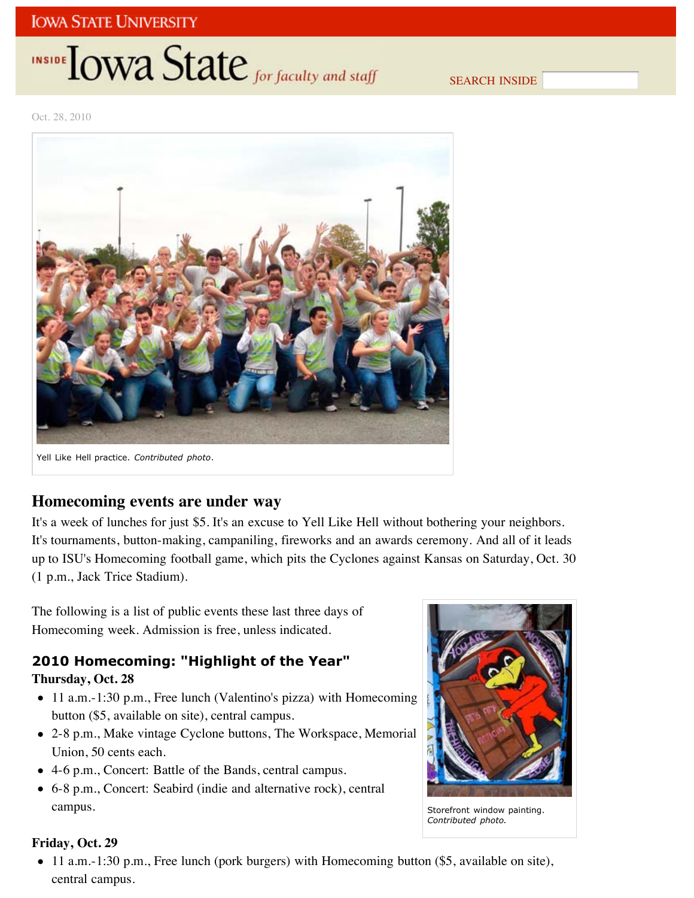## **INSIDE TOWA State** for faculty and staff

SEARCH INSIDE

Oct. 28, 2010



### **Homecoming events are under way**

It's a week of lunches for just \$5. It's an excuse to Yell Like Hell without bothering your neighbors. It's tournaments, button-making, campaniling, fireworks and an awards ceremony. And all of it leads up to ISU's Homecoming football game, which pits the Cyclones against Kansas on Saturday, Oct. 30 (1 p.m., Jack Trice Stadium).

The following is a list of public events these last three days of Homecoming week. Admission is free, unless indicated.

## **2010 Homecoming: "Highlight of the Year"**

#### **Thursday, Oct. 28**

- 11 a.m.-1:30 p.m., Free lunch (Valentino's pizza) with Homecoming button (\$5, available on site), central campus.
- 2-8 p.m., Make vintage Cyclone buttons, The Workspace, Memorial Union, 50 cents each.
- 4-6 p.m., Concert: Battle of the Bands, central campus.
- 6-8 p.m., Concert: Seabird (indie and alternative rock), central campus.



Storefront window painting. *Contributed photo.*

#### **Friday, Oct. 29**

11 a.m.-1:30 p.m., Free lunch (pork burgers) with Homecoming button (\$5, available on site), central campus.